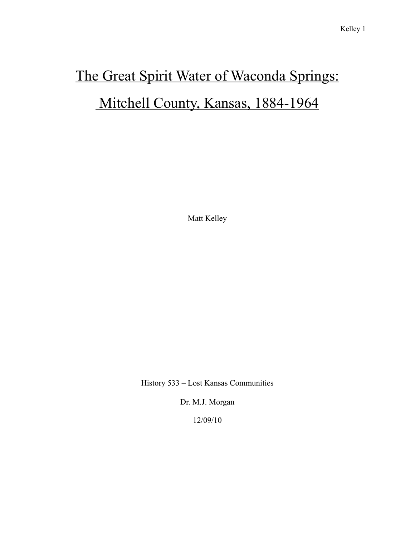## The Great Spirit Water of Waconda Springs: Mitchell County, Kansas, 1884-1964

Matt Kelley

History 533 – Lost Kansas Communities

Dr. M.J. Morgan

12/09/10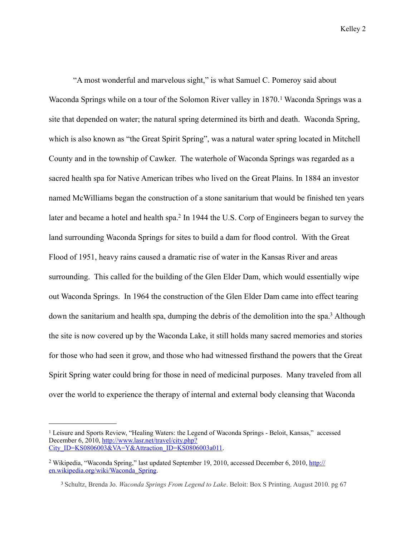"A most wonderful and marvelous sight," is what Samuel C. Pomeroy said about Waconda Springs while on a tour of the Solomon River valley in 1870.<sup>1</sup> Waconda Springs was a site that depended on water; the natural spring determined its birth and death. Waconda Spring, which is also known as "the Great Spirit Spring", was a natural water spring located in Mitchell County and in the township of Cawker. The waterhole of Waconda Springs was regarded as a sacred health spa for Native American tribes who lived on the Great Plains. In 1884 an investor named McWilliams began the construction of a stone sanitarium that would be finished ten years later and became a hotel and health spa.<sup>2</sup> In 1944 the U.S. Corp of Engineers began to survey the land surrounding Waconda Springs for sites to build a dam for flood control. With the Great Flood of 1951, heavy rains caused a dramatic rise of water in the Kansas River and areas surrounding. This called for the building of the Glen Elder Dam, which would essentially wipe out Waconda Springs. In 1964 the construction of the Glen Elder Dam came into effect tearing down the sanitarium and health spa, dumping the debris of the demolition into the spa[.3](#page-1-2) Although the site is now covered up by the Waconda Lake, it still holds many sacred memories and stories for those who had seen it grow, and those who had witnessed firsthand the powers that the Great Spirit Spring water could bring for those in need of medicinal purposes. Many traveled from all over the world to experience the therapy of internal and external body cleansing that Waconda

<span id="page-1-0"></span><sup>&</sup>lt;sup>1</sup> Leisure and Sports Review, "Healing Waters: the Legend of Waconda Springs - Beloit, Kansas," accessed December 6, 2010, [http://www.lasr.net/travel/city.php?](http://www.lasr.net/travel/city.php?City_ID=KS0806003&VA=Y&Attraction_ID=KS0806003a011) [City\\_ID=KS0806003&VA=Y&Attraction\\_ID=KS0806003a011](http://www.lasr.net/travel/city.php?City_ID=KS0806003&VA=Y&Attraction_ID=KS0806003a011).

<span id="page-1-1"></span><sup>&</sup>lt;sup>2</sup> Wikipedia, "Waconda Spring," last updated September 19, 2010, accessed December 6, 2010, [http://](http://en.wikipedia.org/wiki/Waconda_Spring) [en.wikipedia.org/wiki/Waconda\\_Spring.](http://en.wikipedia.org/wiki/Waconda_Spring)

<span id="page-1-2"></span> <sup>3</sup> Schultz, Brenda Jo. *Waconda Springs From Legend to Lake*. Beloit: Box S Printing. August 2010. pg 67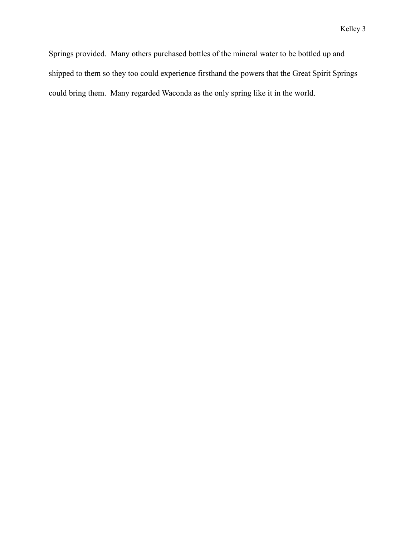Springs provided. Many others purchased bottles of the mineral water to be bottled up and shipped to them so they too could experience firsthand the powers that the Great Spirit Springs could bring them. Many regarded Waconda as the only spring like it in the world.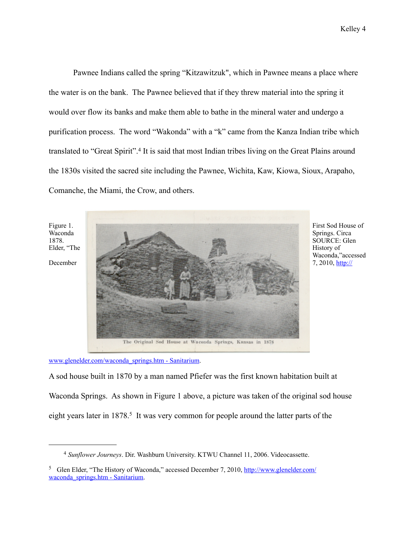Pawnee Indians called the spring "Kitzawitzuk", which in Pawnee means a place where the water is on the bank. The Pawnee believed that if they threw material into the spring it would over flow its banks and make them able to bathe in the mineral water and undergo a purification process. The word "Wakonda" with a "k" came from the Kanza Indian tribe which translated to "Great Spirit".[4](#page-3-0) It is said that most Indian tribes living on the Great Plains around the 1830s visited the sacred site including the Pawnee, Wichita, Kaw, Kiowa, Sioux, Arapaho, Comanche, the Miami, the Crow, and others.



SOURCE: Glen Waconda,"accessed

[www.glenelder.com/waconda\\_springs.htm - Sanitarium](http://www.glenelder.com/waconda_springs.htm#Sanitarium).

A sod house built in 1870 by a man named Pfiefer was the first known habitation built at Waconda Springs. As shown in Figure 1 above, a picture was taken of the original sod house eight years later in 1878.<sup>5</sup> It was very common for people around the latter parts of the

<span id="page-3-0"></span> <sup>4</sup> *Sunflower Journeys*. Dir. Washburn University. KTWU Channel 11, 2006. Videocassette.

<span id="page-3-1"></span><sup>&</sup>lt;sup>5</sup> Glen Elder, "The History of Waconda," accessed December 7, 2010, [http://www.glenelder.com/](http://www.glenelder.com/waconda_springs.htm#Sanitarium) [waconda\\_springs.htm - Sanitarium.](http://www.glenelder.com/waconda_springs.htm#Sanitarium)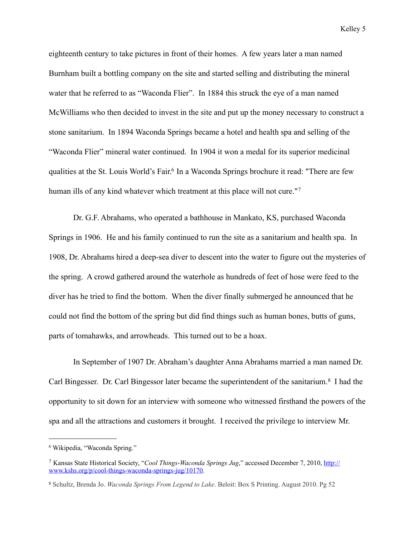eighteenth century to take pictures in front of their homes. A few years later a man named Burnham built a bottling company on the site and started selling and distributing the mineral water that he referred to as "Waconda Flier". In 1884 this struck the eye of a man named McWilliams who then decided to invest in the site and put up the money necessary to construct a stone sanitarium. In 1894 Waconda Springs became a hotel and health spa and selling of the "Waconda Flier" mineral water continued. In 1904 it won a medal for its superior medicinal qualities at the [St. Louis World's Fair](http://en.wikipedia.org/wiki/St._Louis_World%E2%80%99s_Fair). [6](#page-4-0) In a Waconda Springs brochure it read: "There are few human ills of any kind whatever which treatment at this place will not cure."<sup>[7](#page-4-1)</sup>

 Dr. G.F. Abrahams, who operated a bathhouse in Mankato, KS, purchased Waconda Springs in 1906. He and his family continued to run the site as a sanitarium and health spa. In 1908, Dr. Abrahams hired a deep-sea diver to descent into the water to figure out the mysteries of the spring. A crowd gathered around the waterhole as hundreds of feet of hose were feed to the diver has he tried to find the bottom. When the diver finally submerged he announced that he could not find the bottom of the spring but did find things such as human bones, butts of guns, parts of tomahawks, and arrowheads. This turned out to be a hoax.

In September of 1907 Dr. Abraham's daughter Anna Abrahams married a man named Dr. Carl Bingesser. Dr. Carl Bingessor later became the superintendent of the sanitarium.<sup>[8](#page-4-2)</sup> I had the opportunity to sit down for an interview with someone who witnessed firsthand the powers of the spa and all the attractions and customers it brought. I received the privilege to interview Mr.

<span id="page-4-0"></span><sup>6</sup> Wikipedia, "Waconda Spring."

<span id="page-4-1"></span><sup>7</sup> Kansas State Historical Society, "*Cool Things-Waconda Springs Jug*," accessed December 7, 2010, [http://](http://www.kshs.org/p/cool-things-waconda-springs-jug/10170) [www.kshs.org/p/cool-things-waconda-springs-jug/10170](http://www.kshs.org/p/cool-things-waconda-springs-jug/10170).

<span id="page-4-2"></span><sup>8</sup> Schultz, Brenda Jo. *Waconda Springs From Legend to Lake*. Beloit: Box S Printing. August 2010. Pg 52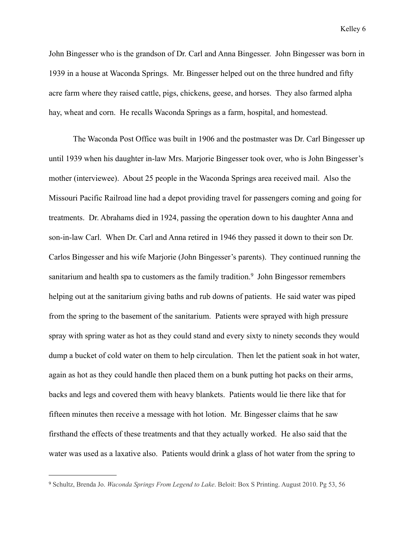John Bingesser who is the grandson of Dr. Carl and Anna Bingesser. John Bingesser was born in 1939 in a house at Waconda Springs. Mr. Bingesser helped out on the three hundred and fifty acre farm where they raised cattle, pigs, chickens, geese, and horses. They also farmed alpha hay, wheat and corn. He recalls Waconda Springs as a farm, hospital, and homestead.

 The Waconda Post Office was built in 1906 and the postmaster was Dr. Carl Bingesser up until 1939 when his daughter in-law Mrs. Marjorie Bingesser took over, who is John Bingesser's mother (interviewee). About 25 people in the Waconda Springs area received mail. Also the Missouri Pacific Railroad line had a depot providing travel for passengers coming and going for treatments. Dr. Abrahams died in 1924, passing the operation down to his daughter Anna and son-in-law Carl. When Dr. Carl and Anna retired in 1946 they passed it down to their son Dr. Carlos Bingesser and his wife Marjorie (John Bingesser's parents). They continued running the sanitarium and health spa to customers as the family tradition.<sup>9</sup> John Bingessor remembers helping out at the sanitarium giving baths and rub downs of patients. He said water was piped from the spring to the basement of the sanitarium. Patients were sprayed with high pressure spray with spring water as hot as they could stand and every sixty to ninety seconds they would dump a bucket of cold water on them to help circulation. Then let the patient soak in hot water, again as hot as they could handle then placed them on a bunk putting hot packs on their arms, backs and legs and covered them with heavy blankets. Patients would lie there like that for fifteen minutes then receive a message with hot lotion. Mr. Bingesser claims that he saw firsthand the effects of these treatments and that they actually worked. He also said that the water was used as a laxative also. Patients would drink a glass of hot water from the spring to

<span id="page-5-0"></span><sup>9</sup> Schultz, Brenda Jo. *Waconda Springs From Legend to Lake*. Beloit: Box S Printing. August 2010. Pg 53, 56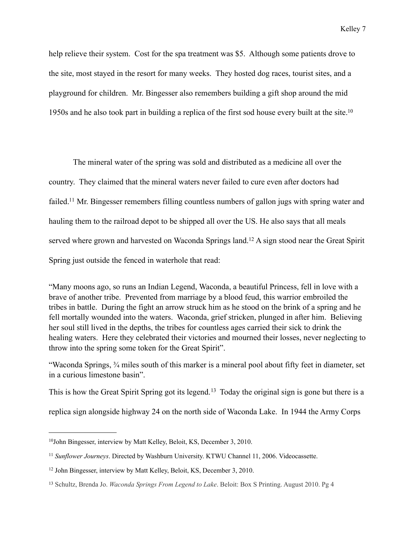help relieve their system. Cost for the spa treatment was \$5. Although some patients drove to the site, most stayed in the resort for many weeks. They hosted dog races, tourist sites, and a playground for children. Mr. Bingesser also remembers building a gift shop around the mid 1950s and he also took part in building a replica of the first sod house every built at the site[.10](#page-6-0)

 The mineral water of the spring was sold and distributed as a medicine all over the country. They claimed that the mineral waters never failed to cure even after doctors had failed.<sup>11</sup> Mr. Bingesser remembers filling countless numbers of gallon jugs with spring water and hauling them to the railroad depot to be shipped all over the US. He also says that all meals served where grown and harvested on Waconda Springs land[.12](#page-6-2) A sign stood near the Great Spirit Spring just outside the fenced in waterhole that read:

"Many moons ago, so runs an Indian Legend, Waconda, a beautiful Princess, fell in love with a brave of another tribe. Prevented from marriage by a blood feud, this warrior embroiled the tribes in battle. During the fight an arrow struck him as he stood on the brink of a spring and he fell mortally wounded into the waters. Waconda, grief stricken, plunged in after him. Believing her soul still lived in the depths, the tribes for countless ages carried their sick to drink the healing waters. Here they celebrated their victories and mourned their losses, never neglecting to throw into the spring some token for the Great Spirit".

"Waconda Springs, ¾ miles south of this marker is a mineral pool about fifty feet in diameter, set in a curious limestone basin".

This is how the Great Spirit Spring got its legend.<sup>13</sup> Today the original sign is gone but there is a

replica sign alongside highway 24 on the north side of Waconda Lake. In 1944 the Army Corps

<span id="page-6-0"></span><sup>10</sup>John Bingesser, interview by Matt Kelley, Beloit, KS, December 3, 2010.

<span id="page-6-1"></span><sup>11</sup> *Sunflower Journeys*. Directed by Washburn University. KTWU Channel 11, 2006. Videocassette.

<span id="page-6-2"></span><sup>12</sup> John Bingesser, interview by Matt Kelley, Beloit, KS, December 3, 2010.

<span id="page-6-3"></span><sup>13</sup> Schultz, Brenda Jo. *Waconda Springs From Legend to Lake*. Beloit: Box S Printing. August 2010. Pg 4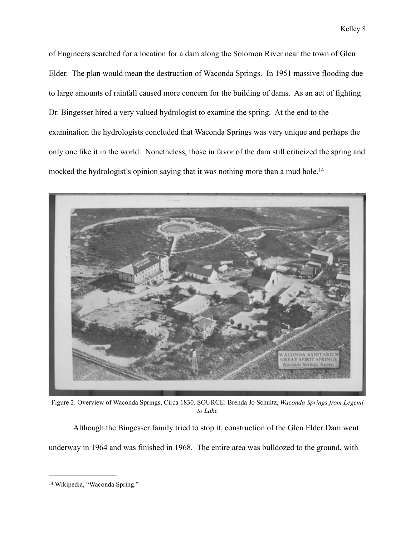of Engineers searched for a location for a dam along the Solomon River near the town of Glen Elder. The plan would mean the destruction of Waconda Springs. In 1951 massive flooding due to large amounts of rainfall caused more concern for the building of dams. As an act of fighting Dr. Bingesser hired a very valued hydrologist to examine the spring. At the end to the examination the hydrologists concluded that Waconda Springs was very unique and perhaps the only one like it in the world. Nonetheless, those in favor of the dam still criticized the spring and mocked the hydrologist's opinion saying that it was nothing more than a mud hole.<sup>[14](#page-7-0)</sup>



Figure 2. Overview of Waconda Springs, Circa 1830. SOURCE: Brenda Jo Schultz, *Waconda Springs from Legend to Lake*

Although the Bingesser family tried to stop it, construction of the Glen Elder Dam went underway in 1964 and was finished in 1968. The entire area was bulldozed to the ground, with

<span id="page-7-0"></span><sup>14</sup> Wikipedia, "Waconda Spring."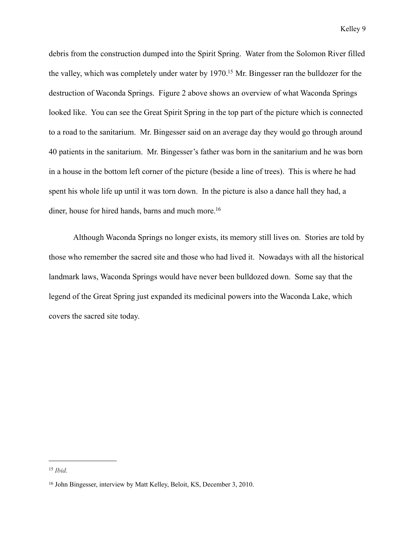debris from the construction dumped into the Spirit Spring. Water from the Solomon River filled the valley, which was completely under water by 1970[.15](#page-8-0) Mr. Bingesser ran the bulldozer for the destruction of Waconda Springs. Figure 2 above shows an overview of what Waconda Springs looked like. You can see the Great Spirit Spring in the top part of the picture which is connected to a road to the sanitarium. Mr. Bingesser said on an average day they would go through around 40 patients in the sanitarium. Mr. Bingesser's father was born in the sanitarium and he was born in a house in the bottom left corner of the picture (beside a line of trees). This is where he had spent his whole life up until it was torn down. In the picture is also a dance hall they had, a diner, house for hired hands, barns and much more.<sup>16</sup>

Although Waconda Springs no longer exists, its memory still lives on. Stories are told by those who remember the sacred site and those who had lived it. Nowadays with all the historical landmark laws, Waconda Springs would have never been bulldozed down. Some say that the legend of the Great Spring just expanded its medicinal powers into the Waconda Lake, which covers the sacred site today.

<span id="page-8-0"></span><sup>15</sup> *Ibid*.

<span id="page-8-1"></span><sup>16</sup> John Bingesser, interview by Matt Kelley, Beloit, KS, December 3, 2010.